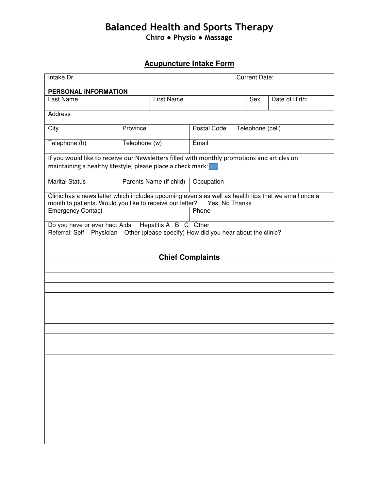# Balanced Health and Sports Therapy Chiro ● Physio ● Massage

# **Acupuncture Intake Form**

| Intake Dr.                                                                                                                                                                        |                         |                   |                         | <b>Current Date:</b> |                |  |  |
|-----------------------------------------------------------------------------------------------------------------------------------------------------------------------------------|-------------------------|-------------------|-------------------------|----------------------|----------------|--|--|
| <b>PERSONAL INFORMATION</b>                                                                                                                                                       |                         |                   |                         |                      |                |  |  |
| <b>Last Name</b>                                                                                                                                                                  |                         | <b>First Name</b> |                         | Sex                  | Date of Birth: |  |  |
| Address                                                                                                                                                                           |                         |                   |                         |                      |                |  |  |
| City                                                                                                                                                                              | Province                |                   | Postal Code             | Telephone (cell)     |                |  |  |
| Telephone (h)                                                                                                                                                                     | Telephone (w)           |                   | Email                   |                      |                |  |  |
| If you would like to receive our Newsletters filled with monthly promotions and articles on<br>maintaining a healthy lifestyle, please place a check mark:                        |                         |                   |                         |                      |                |  |  |
| <b>Marital Status</b>                                                                                                                                                             | Parents Name (if child) |                   | Occupation              |                      |                |  |  |
| Clinic has a news letter which includes upcoming events as well as health tips that we email once a<br>month to patients. Would you like to receive our letter?<br>Yes, No Thanks |                         |                   |                         |                      |                |  |  |
| <b>Emergency Contact</b>                                                                                                                                                          |                         |                   |                         | Phone                |                |  |  |
| Do you have or ever had: Aids Hepatitis A B C Other                                                                                                                               |                         |                   |                         |                      |                |  |  |
| Referral: Self Physician Other (please specify) How did you hear about the clinic?                                                                                                |                         |                   |                         |                      |                |  |  |
|                                                                                                                                                                                   |                         |                   | <b>Chief Complaints</b> |                      |                |  |  |
|                                                                                                                                                                                   |                         |                   |                         |                      |                |  |  |
|                                                                                                                                                                                   |                         |                   |                         |                      |                |  |  |
|                                                                                                                                                                                   |                         |                   |                         |                      |                |  |  |
|                                                                                                                                                                                   |                         |                   |                         |                      |                |  |  |
|                                                                                                                                                                                   |                         |                   |                         |                      |                |  |  |
|                                                                                                                                                                                   |                         |                   |                         |                      |                |  |  |
|                                                                                                                                                                                   |                         |                   |                         |                      |                |  |  |
|                                                                                                                                                                                   |                         |                   |                         |                      |                |  |  |
|                                                                                                                                                                                   |                         |                   |                         |                      |                |  |  |
|                                                                                                                                                                                   |                         |                   |                         |                      |                |  |  |
|                                                                                                                                                                                   |                         |                   |                         |                      |                |  |  |
|                                                                                                                                                                                   |                         |                   |                         |                      |                |  |  |
|                                                                                                                                                                                   |                         |                   |                         |                      |                |  |  |
|                                                                                                                                                                                   |                         |                   |                         |                      |                |  |  |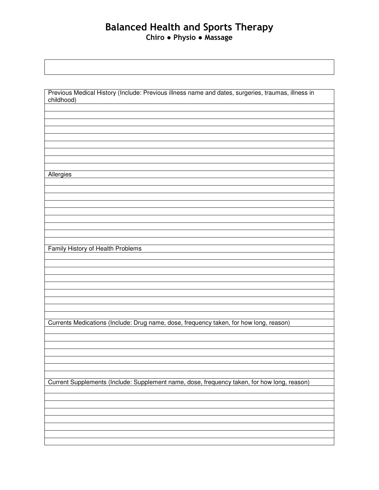## Balanced Health and Sports Therapy Chiro ● Physio ● Massage

| childhood)<br>Allergies<br>Family History of Health Problems<br>Currents Medications (Include: Drug name, dose, frequency taken, for how long, reason)<br>Current Supplements (Include: Supplement name, dose, frequency taken, for how long, reason) |                                                                                                    |
|-------------------------------------------------------------------------------------------------------------------------------------------------------------------------------------------------------------------------------------------------------|----------------------------------------------------------------------------------------------------|
|                                                                                                                                                                                                                                                       | Previous Medical History (Include: Previous illness name and dates, surgeries, traumas, illness in |
|                                                                                                                                                                                                                                                       |                                                                                                    |
|                                                                                                                                                                                                                                                       |                                                                                                    |
|                                                                                                                                                                                                                                                       |                                                                                                    |
|                                                                                                                                                                                                                                                       |                                                                                                    |
|                                                                                                                                                                                                                                                       |                                                                                                    |
|                                                                                                                                                                                                                                                       |                                                                                                    |
|                                                                                                                                                                                                                                                       |                                                                                                    |
|                                                                                                                                                                                                                                                       |                                                                                                    |
|                                                                                                                                                                                                                                                       |                                                                                                    |
|                                                                                                                                                                                                                                                       |                                                                                                    |
|                                                                                                                                                                                                                                                       |                                                                                                    |
|                                                                                                                                                                                                                                                       |                                                                                                    |
|                                                                                                                                                                                                                                                       |                                                                                                    |
|                                                                                                                                                                                                                                                       |                                                                                                    |
|                                                                                                                                                                                                                                                       |                                                                                                    |
|                                                                                                                                                                                                                                                       |                                                                                                    |
|                                                                                                                                                                                                                                                       |                                                                                                    |
|                                                                                                                                                                                                                                                       |                                                                                                    |
|                                                                                                                                                                                                                                                       |                                                                                                    |
|                                                                                                                                                                                                                                                       |                                                                                                    |
|                                                                                                                                                                                                                                                       |                                                                                                    |
|                                                                                                                                                                                                                                                       |                                                                                                    |
|                                                                                                                                                                                                                                                       |                                                                                                    |
|                                                                                                                                                                                                                                                       |                                                                                                    |
|                                                                                                                                                                                                                                                       |                                                                                                    |
|                                                                                                                                                                                                                                                       |                                                                                                    |
|                                                                                                                                                                                                                                                       |                                                                                                    |
|                                                                                                                                                                                                                                                       |                                                                                                    |
|                                                                                                                                                                                                                                                       |                                                                                                    |
|                                                                                                                                                                                                                                                       |                                                                                                    |
|                                                                                                                                                                                                                                                       |                                                                                                    |
|                                                                                                                                                                                                                                                       |                                                                                                    |
|                                                                                                                                                                                                                                                       |                                                                                                    |
|                                                                                                                                                                                                                                                       |                                                                                                    |
|                                                                                                                                                                                                                                                       |                                                                                                    |
|                                                                                                                                                                                                                                                       |                                                                                                    |
|                                                                                                                                                                                                                                                       |                                                                                                    |
|                                                                                                                                                                                                                                                       |                                                                                                    |
|                                                                                                                                                                                                                                                       |                                                                                                    |
|                                                                                                                                                                                                                                                       |                                                                                                    |
|                                                                                                                                                                                                                                                       |                                                                                                    |
|                                                                                                                                                                                                                                                       |                                                                                                    |
|                                                                                                                                                                                                                                                       |                                                                                                    |
|                                                                                                                                                                                                                                                       |                                                                                                    |
|                                                                                                                                                                                                                                                       |                                                                                                    |
|                                                                                                                                                                                                                                                       |                                                                                                    |
|                                                                                                                                                                                                                                                       |                                                                                                    |
|                                                                                                                                                                                                                                                       |                                                                                                    |
|                                                                                                                                                                                                                                                       |                                                                                                    |
|                                                                                                                                                                                                                                                       |                                                                                                    |
|                                                                                                                                                                                                                                                       |                                                                                                    |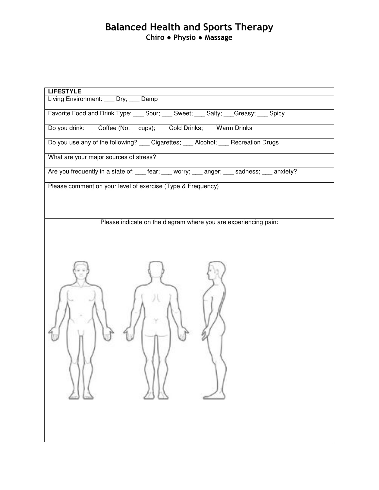## Balanced Health and Sports Therapy Chiro ● Physio ● Massage

| <b>LIFESTYLE</b>                                                                            |
|---------------------------------------------------------------------------------------------|
| Living Environment: ___ Dry; ___ Damp                                                       |
| Favorite Food and Drink Type: Sour; Cour; Sweet; Coulty; Creasy; Copicy                     |
| Do you drink: ___ Coffee (No. __ cups); ___ Cold Drinks; ___ Warm Drinks                    |
| Do you use any of the following? ___ Cigarettes; ___ Alcohol; ___ Recreation Drugs          |
| What are your major sources of stress?                                                      |
| Are you frequently in a state of: ___ fear; ___ worry; ___ anger; ___ sadness; ___ anxiety? |
| Please comment on your level of exercise (Type & Frequency)                                 |
|                                                                                             |
|                                                                                             |
| Please indicate on the diagram where you are experiencing pain:                             |
|                                                                                             |
|                                                                                             |
|                                                                                             |
|                                                                                             |
|                                                                                             |
|                                                                                             |
|                                                                                             |
|                                                                                             |
|                                                                                             |
|                                                                                             |
|                                                                                             |
|                                                                                             |
|                                                                                             |
|                                                                                             |
|                                                                                             |
|                                                                                             |
|                                                                                             |
|                                                                                             |
|                                                                                             |